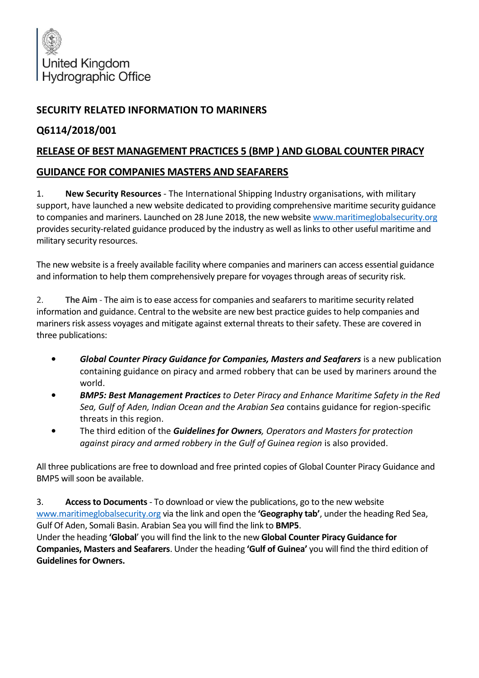

## **SECURITY RELATED INFORMATION TO MARINERS**

## **Q6114/2018/001**

## **RELEASE OF BEST MANAGEMENT PRACTICES 5 (BMP ) AND GLOBAL COUNTER PIRACY**

## **GUIDANCE FOR COMPANIES MASTERS AND SEAFARERS**

1. **New Security Resources** - The International Shipping Industry organisations, with military support, have launched a new website dedicated to providing comprehensive maritime security guidance to companies and mariners. Launched on 28 June 2018, the new website [www.maritimeglobalsecurity.org](http://www.maritimeglobalsecurity.org/) provides security-related guidance produced by the industry as well as links to other useful maritime and military security resources.

The new website is a freely available facility where companies and mariners can access essential guidance and information to help them comprehensively prepare for voyages through areas of security risk.

2. **The Aim** - The aim is to ease access for companies and seafarers to maritime security related information and guidance. Central to the website are new best practice guides to help companies and mariners risk assess voyages and mitigate against external threats to their safety. These are covered in three publications:

- *Global Counter Piracy Guidance for Companies, Masters and Seafarers* is a new publication containing guidance on piracy and armed robbery that can be used by mariners around the world.
- *BMP5: Best Management Practices to Deter Piracy and Enhance Maritime Safety in the Red Sea, Gulf of Aden, Indian Ocean and the Arabian Sea* contains guidance for region-specific threats in this region.
- The third edition of the *Guidelines for Owners, Operators and Masters for protection against piracy and armed robbery in the Gulf of Guinea region* is also provided.

All three publications are free to download and free printed copies of Global Counter Piracy Guidance and BMP5 will soon be available.

3. **Access to Documents**- To download or view the publications, go to the new website [www.maritimeglobalsecurity.org](http://www.maritimeglobalsecurity.org/) via the link and open the **'Geography tab'**, under the heading Red Sea, Gulf Of Aden, Somali Basin. Arabian Sea you will find the link to **BMP5**.

Under the heading **'Global**' you will find the link to the new **Global Counter Piracy Guidance for Companies, Masters and Seafarers**. Under the heading **'Gulf of Guinea'** you will find the third edition of **Guidelines for Owners.**